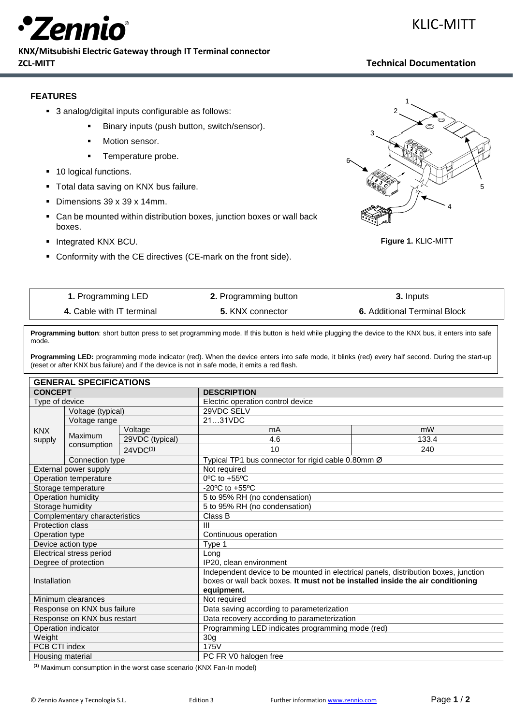

#### **KNX/Mitsubishi Electric Gateway through IT Terminal connector ZCL-MITT Technical Documentation**

KLIC-MITT

### **FEATURES**

- 3 analog/digital inputs configurable as follows:
	- Binary inputs (push button, switch/sensor).
	- Motion sensor.
	- **•** Temperature probe.
- 10 logical functions.
- **Total data saving on KNX bus failure.**
- Dimensions 39 x 39 x 14mm.
- Can be mounted within distribution boxes, junction boxes or wall back boxes.
- **·** Integrated KNX BCU.
- Conformity with the CE directives (CE-mark on the front side).



**Figure 1.** KLIC-MITT

| 1. Programming LED        | <b>2.</b> Programming button | 3. Inputs                           |
|---------------------------|------------------------------|-------------------------------------|
| 4. Cable with IT terminal | 5. KNX connector             | <b>6.</b> Additional Terminal Block |

**Programming button**: short button press to set programming mode. If this button is held while plugging the device to the KNX bus, it enters into safe mode.

**Programming LED:** programming mode indicator (red). When the device enters into safe mode, it blinks (red) every half second. During the start-up (reset or after KNX bus failure) and if the device is not in safe mode, it emits a red flash.

| <b>GENERAL SPECIFICATIONS</b> |                    |                      |                                                                                     |       |  |
|-------------------------------|--------------------|----------------------|-------------------------------------------------------------------------------------|-------|--|
| <b>CONCEPT</b>                |                    |                      | <b>DESCRIPTION</b>                                                                  |       |  |
| Type of device                |                    |                      | Electric operation control device                                                   |       |  |
| Voltage (typical)             |                    |                      | 29VDC SELV                                                                          |       |  |
| <b>KNX</b><br>supply          | Voltage range      |                      | 2131VDC                                                                             |       |  |
|                               |                    | Voltage              | mA                                                                                  | mW    |  |
|                               | Maximum            | 29VDC (typical)      | 4.6                                                                                 | 133.4 |  |
|                               | consumption        | 24VDC <sup>(1)</sup> | 10                                                                                  | 240   |  |
|                               | Connection type    |                      | Typical TP1 bus connector for rigid cable 0.80mm Ø                                  |       |  |
| External power supply         |                    |                      | Not required                                                                        |       |  |
| Operation temperature         |                    |                      | $0^{\circ}$ C to +55 $^{\circ}$ C                                                   |       |  |
| Storage temperature           |                    |                      | -20 $^{\circ}$ C to +55 $^{\circ}$ C                                                |       |  |
|                               | Operation humidity |                      | 5 to 95% RH (no condensation)                                                       |       |  |
|                               | Storage humidity   |                      | 5 to 95% RH (no condensation)                                                       |       |  |
| Complementary characteristics |                    |                      | Class B                                                                             |       |  |
| Protection class              |                    |                      | III                                                                                 |       |  |
| Operation type                |                    |                      | Continuous operation                                                                |       |  |
| Device action type            |                    |                      | Type 1                                                                              |       |  |
| Electrical stress period      |                    |                      | Long                                                                                |       |  |
| Degree of protection          |                    |                      | IP20, clean environment                                                             |       |  |
| Installation                  |                    |                      | Independent device to be mounted in electrical panels, distribution boxes, junction |       |  |
|                               |                    |                      | boxes or wall back boxes. It must not be installed inside the air conditioning      |       |  |
|                               |                    |                      | equipment.                                                                          |       |  |
| Minimum clearances            |                    |                      | Not required                                                                        |       |  |
| Response on KNX bus failure   |                    |                      | Data saving according to parameterization                                           |       |  |
| Response on KNX bus restart   |                    |                      | Data recovery according to parameterization                                         |       |  |
| Operation indicator           |                    |                      | Programming LED indicates programming mode (red)                                    |       |  |
| Weight                        |                    |                      | 30 <sub>g</sub>                                                                     |       |  |
| PCB CTI index                 |                    |                      | 175V                                                                                |       |  |
| Housing material              |                    |                      | PC FR V0 halogen free                                                               |       |  |

**(1)** Maximum consumption in the worst case scenario (KNX Fan-In model)